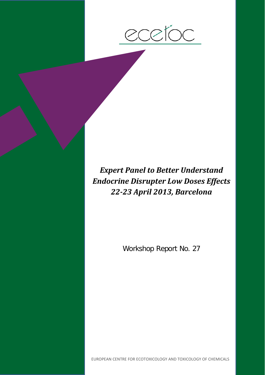

*Expert Panel to Better Understand Endocrine Disrupter Low Doses Effects 22-23 April 2013, Barcelona*

Workshop Report No. 27

EUROPEAN CENTRE FOR ECOTOXICOLOGY AND TOXICOLOGY OF CHEMICALS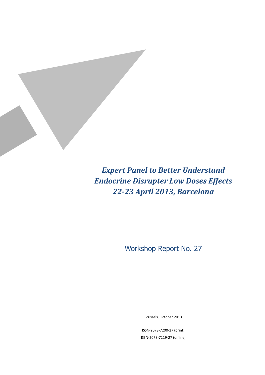

*Expert Panel to Better Understand Endocrine Disrupter Low Doses Effects 22-23 April 2013, Barcelona*

Workshop Report No. 27

Brussels, October 2013

ISSN-2078-7200-27 (print) ISSN-2078-7219-27 (online)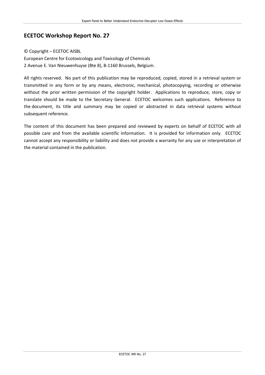### **ECETOC Workshop Report No. 27**

#### © Copyright – ECETOC AISBL

European Centre for Ecotoxicology and Toxicology of Chemicals 2 Avenue E. Van Nieuwenhuyse (Bte 8), B-1160 Brussels, Belgium.

All rights reserved. No part of this publication may be reproduced, copied, stored in a retrieval system or transmitted in any form or by any means, electronic, mechanical, photocopying, recording or otherwise without the prior written permission of the copyright holder. Applications to reproduce, store, copy or translate should be made to the Secretary General. ECETOC welcomes such applications. Reference to the document, its title and summary may be copied or abstracted in data retrieval systems without subsequent reference.

The content of this document has been prepared and reviewed by experts on behalf of ECETOC with all possible care and from the available scientific information. It is provided for information only. ECETOC cannot accept any responsibility or liability and does not provide a warranty for any use or interpretation of the material contained in the publication.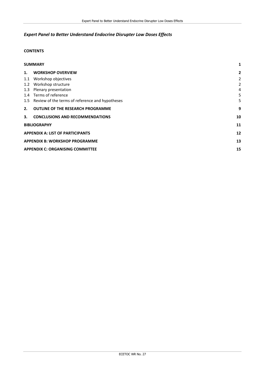## *Expert Panel to Better Understand Endocrine Disrupter Low Doses Effects*

### **CONTENTS**

| <b>SUMMARY</b>                          |                                                     |                |
|-----------------------------------------|-----------------------------------------------------|----------------|
| 1.                                      | <b>WORKSHOP OVERVIEW</b>                            | 2              |
|                                         | 1.1 Workshop objectives                             | 2              |
|                                         | 1.2 Workshop structure                              | $\overline{2}$ |
|                                         | 1.3 Plenary presentation                            | 4              |
|                                         | 1.4 Terms of reference                              | 5              |
|                                         | 1.5 Review of the terms of reference and hypotheses | 5              |
| 2.                                      | <b>OUTLINE OF THE RESEARCH PROGRAMME</b>            | 9              |
| 3.                                      | <b>CONCLUSIONS AND RECOMMENDATIONS</b>              | 10             |
| <b>BIBLIOGRAPHY</b>                     |                                                     |                |
| <b>APPENDIX A: LIST OF PARTICIPANTS</b> |                                                     |                |
| <b>APPENDIX B: WORKSHOP PROGRAMME</b>   |                                                     |                |
| <b>APPENDIX C: ORGANISING COMMITTEE</b> |                                                     |                |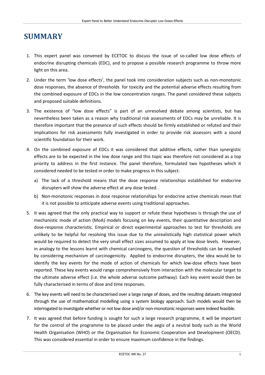# <span id="page-6-0"></span>**SUMMARY**

- 1. This expert panel was convened by ECETOC to discuss the issue of so-called low dose effects of endocrine disrupting chemicals (EDC), and to propose a possible research programme to throw more light on this area.
- 2. Under the term 'low dose effects', the panel took into consideration subjects such as non-monotonic dose responses, the absence of thresholds for toxicity and the potential adverse effects resulting from the combined exposure of EDCs in the low concentration ranges. The panel considered these subjects and proposed suitable definitions.
- 3. The existence of "low dose effects" is part of an unresolved debate among scientists, but has nevertheless been taken as a reason why traditional risk assessments of EDCs may be unreliable. It is therefore important that the presence of such effects should be firmly established or refuted and their implications for risk assessments fully investigated in order to provide risk assessors with a sound scientific foundation for their work.
- 4. On the combined exposure of EDCs it was considered that additive effects, rather than synergistic effects are to be expected in the low dose range and this topic was therefore not considered as a top priority to address in the first instance. The panel therefore, formulated two hypotheses which it considered needed to be tested in order to make progress in this subject.
	- a) The lack of a threshold means that the dose response relationships established for endocrine disrupters will show the adverse effect at any dose tested.
	- b) Non-monotonic responses in dose response relationships for endocrine active chemicals mean that it is not possible to anticipate adverse events using traditional approaches.
- 5. It was agreed that the only practical way to support or refute these hypotheses is through the use of mechanistic mode of action (MoA) models focusing on key events, their quantitative description and dose-response characteristic. Empirical or direct experimental approaches to test for thresholds are unlikely to be helpful for resolving this issue due to the unrealistically high statistical power which would be required to detect the very small effect sizes assumed to apply at low dose levels. However, in analogy to the lessons learnt with chemical carcinogens, the question of thresholds can be resolved by considering mechanism of carcinogenicity. Applied to endocrine disrupters, the idea would be to identify the key events for the mode of action of chemicals for which low-dose effects have been reported. These key events would range comprehensively from interaction with the molecular target to the ultimate adverse effect (i.e. the whole adverse outcome pathway). Each key event would then be fully characterised in terms of dose and time responses.
- 6. The key events will need to be characterised over a large range of doses, and the resulting datasets integrated through the use of mathematical modelling using a system biology approach. Such models would then be interrogated to investigate whether or not low dose and/or non-monotonic responses were indeed feasible.
- 7. It was agreed that before funding is sought for such a large research programme, it will be important for the control of the programme to be placed under the aegis of a neutral body such as the World Health Organisation (WHO) or the Organisation for Economic Cooperation and Development (OECD). This was considered essential in order to ensure maximum confidence in the findings.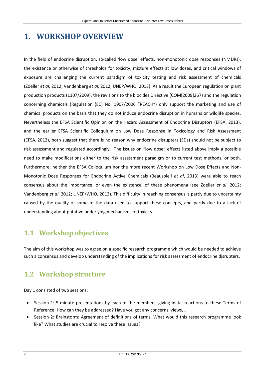# <span id="page-7-0"></span>**1. WORKSHOP OVERVIEW**

In the field of endocrine disruption, so-called 'low dose' effects, non-monotonic dose responses (NMDRs), the existence or otherwise of thresholds for toxicity, mixture effects at low doses, and critical windows of exposure are challenging the current paradigm of toxicity testing and risk assessment of chemicals (Zoeller *et al*, 2012; Vandenberg *et al*, 2012, UNEP/WHO, 2013). As a result the European regulation on plant production products (1107/2009), the revisions to the biocides Directive (COM[2009]267) and the regulation concerning chemicals (Regulation (EC) No. 1907/2006 "REACH") only support the marketing and use of chemical products on the basis that they do not induce endocrine disruption in humans or wildlife species. Nevertheless the EFSA Scientific Opinion on the Hazard Assessment of Endocrine Disruptors (EFSA, 2013), and the earlier EFSA Scientific Colloquium on Low Dose Response in Toxicology and Risk Assessment (EFSA, 2012), both suggest that there is no reason why endocrine disrupters (EDs) should not be subject to risk assessment and regulated accordingly. The issues on "low dose" effects listed above imply a possible need to make modifications either to the risk assessment paradigm or to current test methods, or both. Furthermore, neither the EFSA Colloquium nor the more recent Workshop on Low Dose Effects and Non-Monotonic Dose Responses for Endocrine Active Chemicals (Beausoleil *et al*, 2013) were able to reach consensus about the importance, or even the existence, of these phenomena (see Zoeller *et al*, 2012; Vandenberg *et al*, 2012; UNEP/WHO, 2013). This difficulty in reaching consensus is partly due to uncertainty caused by the quality of some of the data used to support these concepts, and partly due to a lack of understanding about putative underlying mechanisms of toxicity.

## <span id="page-7-1"></span>**1.1 Workshop objectives**

The aim of this workshop was to agree on a specific research programme which would be needed to achieve such a consensus and develop understanding of the implications for risk assessment of endocrine disrupters.

## <span id="page-7-2"></span>**1.2 Workshop structure**

Day 1 consisted of two sessions:

- Session 1: 5-minute presentations by each of the members, giving initial reactions to these Terms of Reference. How can they be addressed? Have you got any concerns, views, …
- Session 2: Brainstorm: Agreement of definitions of terms. What would this research programme look like? What studies are crucial to resolve these issues?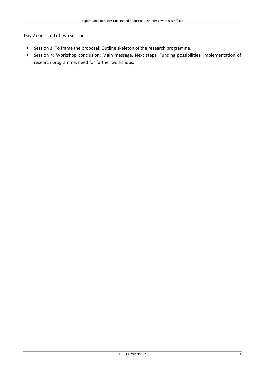Day 2 consisted of two sessions:

- Session 3: To frame the proposal: Outline skeleton of the research programme.
- Session 4: Workshop conclusion: Main message. Next steps: Funding possibilities, implementation of research programme, need for further workshops.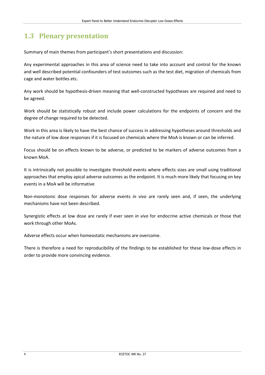## <span id="page-9-0"></span>**1.3 Plenary presentation**

Summary of main themes from participant's short presentations and discussion:

Any experimental approaches in this area of science need to take into account and control for the known and well described potential confounders of test outcomes such as the test diet, migration of chemicals from cage and water bottles etc.

Any work should be hypothesis-driven meaning that well-constructed hypotheses are required and need to be agreed.

Work should be statistically robust and include power calculations for the endpoints of concern and the degree of change required to be detected.

Work in this area is likely to have the best chance of success in addressing hypotheses around thresholds and the nature of low dose responses if it is focused on chemicals where the MoA is known or can be inferred.

Focus should be on effects known to be adverse, or predicted to be markers of adverse outcomes from a known MoA.

It is intrinsically not possible to investigate threshold events where effects sizes are small using traditional approaches that employ apical adverse outcomes as the endpoint. It is much more likely that focusing on key events in a MoA will be informative

Non-monotonic dose responses for adverse events *in vivo* are rarely seen and, if seen, the underlying mechanisms have not been described.

Synergistic effects at low dose are rarely if ever seen *in vivo* for endocrine active chemicals or those that work through other MoAs.

Adverse effects occur when homeostatic mechanisms are overcome.

There is therefore a need for reproducibility of the findings to be established for these low-dose effects in order to provide more convincing evidence.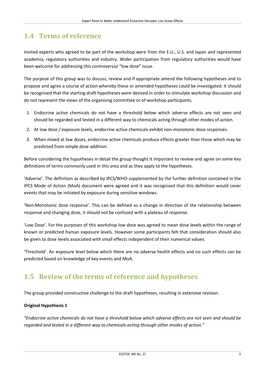## <span id="page-10-0"></span>**1.4 Terms of reference**

Invited experts who agreed to be part of the workshop were from the E.U., U.S. and Japan and represented academia, regulatory authorities and industry. Wider participation from regulatory authorities would have been welcome for addressing this controversial "low dose" issue.

The purpose of this group was to discuss, review and if appropriate amend the following hypotheses and to propose and agree a course of action whereby these or amended hypotheses could be investigated. It should be recognised that the starting draft hypotheses were devised in order to stimulate workshop discussion and do not represent the views of the organising committee or of workshop participants.

- 1. Endocrine active chemicals do not have a threshold below which adverse effects are not seen and should be regarded and tested in a different way to chemicals acting through other modes of action.
- 2. At low dose / exposure levels, endocrine active chemicals exhibit non-monotonic dose responses.
- 3. When mixed at low doses, endocrine active chemicals produce effects greater than those which may be predicted from simple dose addition.

Before considering the hypotheses in detail the group thought it important to review and agree on some key definitions of terms commonly used in this area and as they apply to the hypotheses.

'Adverse'. The definition as described by IPCS/WHO supplemented by the further definition contained in the IPCS Mode of Action (MoA) document were agreed and it was recognised that this definition would cover events that may be initiated by exposure during sensitive windows.

'Non-Monotonic dose response'. This can be defined as a change in direction of the relationship between response and changing dose; it should not be confused with a plateau of response.

'Low Dose'. For the purposes of this workshop low dose was agreed to mean dose levels within the range of known or predicted human exposure levels. However some participants felt that consideration should also be given to dose levels associated with small effects independent of their numerical values.

'Threshold'. An exposure level below which there are no adverse health effects and no such effects can be predicted based on knowledge of key events and MoA.

## <span id="page-10-1"></span>**1.5 Review of the terms of reference and hypotheses**

The group provided constructive challenge to the draft hypotheses, resulting in extensive revision.

### **Original Hypothesis 1**

*"Endocrine active chemicals do not have a threshold below which adverse effects are not seen and should be regarded and tested in a different way to chemicals acting through other modes of action."*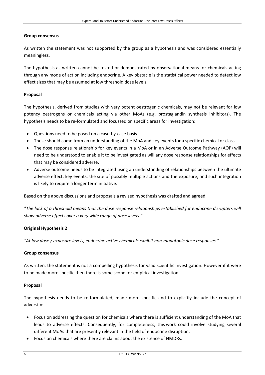#### **Group consensus**

As written the statement was not supported by the group as a hypothesis and was considered essentially meaningless.

The hypothesis as written cannot be tested or demonstrated by observational means for chemicals acting through any mode of action including endocrine. A key obstacle is the statistical power needed to detect low effect sizes that may be assumed at low threshold dose levels.

#### **Proposal**

The hypothesis, derived from studies with very potent oestrogenic chemicals, may not be relevant for low potency oestrogens or chemicals acting via other MoAs (e.g. prostaglandin synthesis inhibitors). The hypothesis needs to be re-formulated and focussed on specific areas for investigation:

- Questions need to be posed on a case-by-case basis.
- These should come from an understanding of the MoA and key events for a specific chemical or class.
- The dose response relationship for key events in a MoA or in an Adverse Outcome Pathway (AOP) will need to be understood to enable it to be investigated as will any dose response relationships for effects that may be considered adverse.
- Adverse outcome needs to be integrated using an understanding of relationships between the ultimate adverse effect, key events, the site of possibly multiple actions and the exposure, and such integration is likely to require a longer term initiative.

Based on the above discussions and proposals a revised hypothesis was drafted and agreed:

*"The lack of a threshold means that the dose response relationships established for endocrine disrupters will show adverse effects over a very wide range of dose levels."*

#### **Original Hypothesis 2**

*"At low dose / exposure levels, endocrine active chemicals exhibit non-monotonic dose responses."* 

#### **Group consensus**

As written, the statement is not a compelling hypothesis for valid scientific investigation. However if it were to be made more specific then there is some scope for empirical investigation.

#### **Proposal**

The hypothesis needs to be re-formulated, made more specific and to explicitly include the concept of adversity:

- Focus on addressing the question for chemicals where there is sufficient understanding of the MoA that leads to adverse effects. Consequently, for completeness, this work could involve studying several different MoAs that are presently relevant in the field of endocrine disruption.
- Focus on chemicals where there are claims about the existence of NMDRs.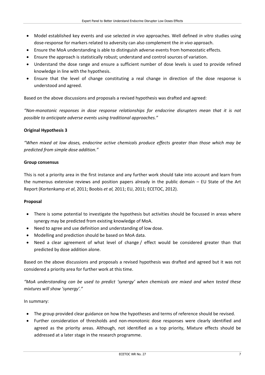- Model established key events and use selected *in vivo* approaches. Well defined *in vitro* studies using dose-response for markers related to adversity can also complement the *in vivo* approach.
- Ensure the MoA understanding is able to distinguish adverse events from homeostatic effects.
- Ensure the approach is statistically robust; understand and control sources of variation.
- Understand the dose range and ensure a sufficient number of dose levels is used to provide refined knowledge in line with the hypothesis.
- Ensure that the level of change constituting a real change in direction of the dose response is understood and agreed.

Based on the above discussions and proposals a revised hypothesis was drafted and agreed:

*"Non-monotonic responses in dose response relationships for endocrine disrupters mean that it is not possible to anticipate adverse events using traditional approaches."* 

#### **Original Hypothesis 3**

*"When mixed at low doses, endocrine active chemicals produce effects greater than those which may be predicted from simple dose addition."* 

#### **Group consensus**

This is not a priority area in the first instance and any further work should take into account and learn from the numerous extensive reviews and position papers already in the public domain – EU State of the Art Report (Kortenkamp *et al*, 2011; Boobis *et al,* 2011; EU, 2011; ECETOC, 2012).

#### **Proposal**

- There is some potential to investigate the hypothesis but activities should be focussed in areas where synergy may be predicted from existing knowledge of MoA.
- Need to agree and use definition and understanding of low dose.
- Modelling and prediction should be based on MoA data.
- Need a clear agreement of what level of change / effect would be considered greater than that predicted by dose addition alone.

Based on the above discussions and proposals a revised hypothesis was drafted and agreed but it was not considered a priority area for further work at this time.

*"MoA understanding can be used to predict 'synergy' when chemicals are mixed and when tested these mixtures will show 'synergy'."* 

#### In summary:

- The group provided clear guidance on how the hypotheses and terms of reference should be revised.
- Further consideration of thresholds and non-monotonic dose responses were clearly identified and agreed as the priority areas. Although, not identified as a top priority, Mixture effects should be addressed at a later stage in the research programme.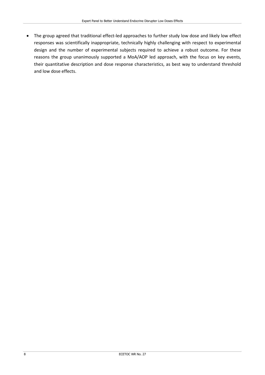• The group agreed that traditional effect-led approaches to further study low dose and likely low effect responses was scientifically inappropriate, technically highly challenging with respect to experimental design and the number of experimental subjects required to achieve a robust outcome. For these reasons the group unanimously supported a MoA/AOP led approach, with the focus on key events, their quantitative description and dose response characteristics, as best way to understand threshold and low dose effects.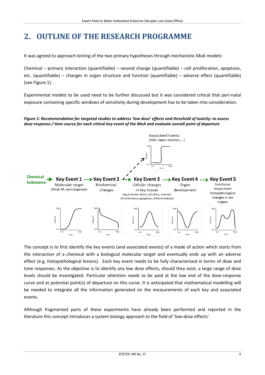# <span id="page-14-0"></span>**2. OUTLINE OF THE RESEARCH PROGRAMME**

It was agreed to approach testing of the two primary hypotheses through mechanistic MoA models:

Chemical – primary interaction (quantifiable) – second change (quantifiable) – cell proliferation, apoptosis, etc. (quantifiable) – changes in organ structure and function (quantifiable) – adverse effect (quantifiable) (see Figure 1).

Experimental models to be used need to be further discussed but it was considered critical that peri-natal exposure containing specific windows of sensitivity during development has to be taken into consideration.

#### *Figure 1: Recommendation for targeted studies to address 'low dose' effects and threshold of toxicity: to assess dose-response / time course for each critical key event of the MoA and evaluate overall point of departure*



The concept is to first identify the key events (and associated events) of a mode of action which starts from the interaction of a chemical with a biological molecular target and eventually ends up with an adverse effect (e.g. histopathological lesions) . Each key event needs to be fully characterised in terms of dose and time responses. As the objective is to identify any low dose effects, should they exist, a large range of dose levels should be investigated. Particular attention needs to be paid at the low end of the dose-response curve and at potential point(s) of departure on this curve. It is anticipated that mathematical modelling will be needed to integrate all the information generated on the measurements of each key and associated events.

Although fragmented parts of these experiments have already been performed and reported in the literature this concept introduces a system biology approach to the field of 'low-dose effects'.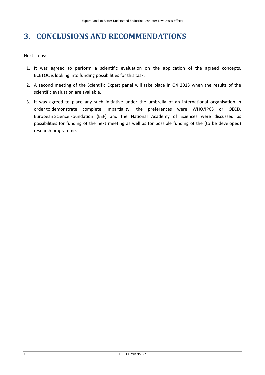# <span id="page-15-0"></span>**3. CONCLUSIONS AND RECOMMENDATIONS**

Next steps:

- 1. It was agreed to perform a scientific evaluation on the application of the agreed concepts. ECETOC is looking into funding possibilities for this task.
- 2. A second meeting of the Scientific Expert panel will take place in Q4 2013 when the results of the scientific evaluation are available.
- 3. It was agreed to place any such initiative under the umbrella of an international organisation in order to demonstrate complete impartiality: the preferences were WHO/IPCS or OECD. European Science Foundation (ESF) and the National Academy of Sciences were discussed as possibilities for funding of the next meeting as well as for possible funding of the (to be developed) research programme.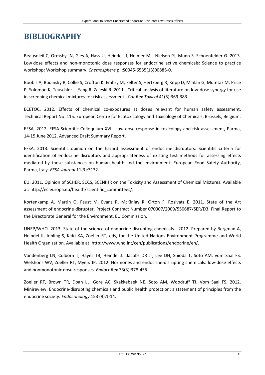## <span id="page-16-0"></span>**BIBLIOGRAPHY**

Beausoleil C, Ormsby JN, Gies A, Hass U, Heindel JJ, Holmer ML, Nielsen PJ, Munn S, Schoenfelder G. 2013. Low dose effects and non-monotonic dose responses for endocrine active chemicals: Science to practice workshop: Workshop summary. *Chemosphere* pii:S0045-6535(13)00885-0.

Boobis A, Budinsky R, Collie S, Crofton K, Embry M, Felter S, Hertzberg R, Kopp D, Mihlan G, Mumtaz M, Price P, Solomon K, Teuschler L, Yang R, Zaleski R. 2011. Critical analysis of literature on low-dose synergy for use in screening chemical mixtures for risk assessment. *Crit Rev Toxicol* 41(5):369-383.

ECETOC. 2012. Effects of chemical co-exposures at doses relevant for human safety assessment. Technical Report No. 115. European Centre for Ecotoxicology and Toxicology of Chemicals, Brussels, Belgium.

EFSA. 2012. EFSA Scientific Colloquium XVII. Low-dose-response in toxicology and risk assessment, Parma, 14-15 June 2012. Advanced Draft Summary Report.

EFSA. 2013. Scientific opinion on the hazard assessment of endocrine disruptors: Scientific criteria for identification of endocrine disruptors and appropriateness of existing test methods for assessing effects mediated by these substances on human health and the environment. European Food Safety Authority, Parma, Italy. *EFSA Journal* 11(3):3132.

EU. 2011. Opinion of SCHER, SCCS, SCENIHR on the Toxicity and Assessment of Chemical Mixtures. Available at: http://ec.europa.eu/health/scientific\_committees/.

Kortenkamp A, Martin O, Faust M, Evans R, McKinlay R, Orton F, Rosivatz E. 2011. State of the Art assessment of endocrine disrupter. Project Contract Number 070307/2009/550687/SER/D3. Final Report to the Directorate General for the Environment, EU Commission.

UNEP/WHO. 2013. State of the science of endocrine disrupting chemicals - 2012. Prepared by Bergman A, Heindel JJ, Jobling S, Kidd KA, Zoeller RT, eds, for the United Nations Environment Programme and World Health Organization. Available at: http://www.who.int/ceh/publications/endocrine/en/.

Vandenberg LN, Colborn T, Hayes TB, Heindel JJ, Jacobs DR Jr, Lee DH, Shioda T, Soto AM, vom Saal FS, Welshons WV, Zoeller RT, Myers JP. 2012. Hormones and endocrine-disrupting chemicals: low-dose effects and nonmonotonic dose responses. *Endocr Rev* 33(3):378-455.

Zoeller RT, Brown TR, Doan LL, Gore AC, Skakkebaek NE, Soto AM, Woodruff TJ, Vom Saal FS. 2012. Minireview: Endocrine-disrupting chemicals and public health protection: a statement of principles from the endocrine society. *Endocrinology* 153 (9):1-14.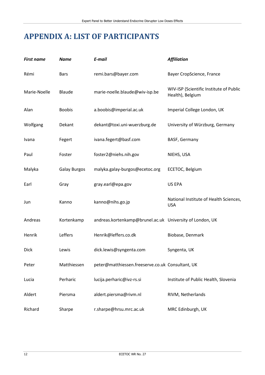# <span id="page-17-0"></span>**APPENDIX A: LIST OF PARTICIPANTS**

| <b>First name</b> | <b>Name</b>         | E-mail                                                   | <b>Affiliation</b>                                          |
|-------------------|---------------------|----------------------------------------------------------|-------------------------------------------------------------|
| Rémi              | <b>Bars</b>         | remi.bars@bayer.com                                      | Bayer CropScience, France                                   |
| Marie-Noelle      | Blaude              | marie-noelle.blaude@wiv-isp.be                           | WIV-ISP (Scientific Institute of Public<br>Health), Belgium |
| Alan              | <b>Boobis</b>       | a.boobis@imperial.ac.uk                                  | Imperial College London, UK                                 |
| Wolfgang          | Dekant              | dekant@toxi.uni-wuerzburg.de                             | University of Würzburg, Germany                             |
| Ivana             | Fegert              | ivana.fegert@basf.com                                    | BASF, Germany                                               |
| Paul              | Foster              | foster2@niehs.nih.gov                                    | NIEHS, USA                                                  |
| Malyka            | <b>Galay Burgos</b> | malyka.galay-burgos@ecetoc.org                           | ECETOC, Belgium                                             |
| Earl              | Gray                | gray.earl@epa.gov                                        | US EPA                                                      |
| Jun               | Kanno               | kanno@nihs.go.jp                                         | National Institute of Health Sciences,<br><b>USA</b>        |
| Andreas           | Kortenkamp          | andreas.kortenkamp@brunel.ac.uk University of London, UK |                                                             |
| Henrik            | Leffers             | Henrik@leffers.co.dk                                     | Biobase, Denmark                                            |
| <b>Dick</b>       | Lewis               | dick.lewis@syngenta.com                                  | Syngenta, UK                                                |
| Peter             | Matthiessen         | peter@matthiessen.freeserve.co.uk Consultant, UK         |                                                             |
| Lucia             | Perharic            | lucija.perharic@ivz-rs.si                                | Institute of Public Health, Slovenia                        |
| Aldert            | Piersma             | aldert.piersma@rivm.nl                                   | RIVM, Netherlands                                           |
| Richard           | Sharpe              | r.sharpe@hrsu.mrc.ac.uk                                  | MRC Edinburgh, UK                                           |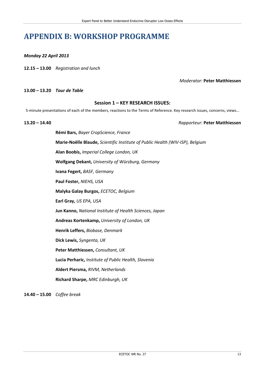# <span id="page-18-0"></span>**APPENDIX B: WORKSHOP PROGRAMME**

*Monday 22 April 2013*

**12.15 – 13.00** *Registration and lunch*

*Moderator:* **Peter Matthiessen**

**13.00 – 13.20** *Tour de Table*

#### **Session 1 – KEY RESEARCH ISSUES:**

5-minute presentations of each of the members, reactions to the Terms of Reference. Key research issues, concerns, views…

**13.20 – 14.40** *Rapporteur:* **Peter Matthiessen**

**Rémi Bars,** *Bayer CropScience, France* **Marie-Noëlle Blaude,** *Scientific Institute of Public Health (WIV-ISP), Belgium* **Alan Boobis,** *Imperial College London, UK* **Wolfgang Dekant,** *University of Würzburg, Germany* **Ivana Fegert,** *BASF, Germany* **Paul Foster,** *NIEHS, USA* **Malyka Galay Burgos,** *ECETOC, Belgium* **Earl Gray,** *US EPA, USA* **Jun Kanno,** *National Institute of Health Sciences, Japan* **Andreas Kortenkamp,** *University of London, UK* **Henrik Leffers,** *Biobase, Denmark* **Dick Lewis,** *Syngenta, UK* **Peter Matthiessen,** *Consultant, UK* **Lucia Perharic,** *Institute of Public Health, Slovenia* **Aldert Piersma,** *RIVM, Netherlands* **Richard Sharpe,** *MRC Edinburgh, UK*

**14.40 – 15.00** *Coffee break*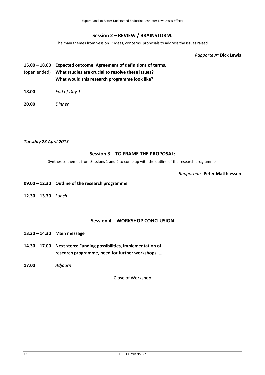### **Session 2 – REVIEW / BRAINSTORM:**

The main themes from Session 1: ideas, concerns, proposals to address the issues raised.

*Rapporteur:* **Dick Lewis**

## **15.00 – 18.00 Expected outcome: Agreement of definitions of terms.** (open ended) **What studies are crucial to resolve these issues? What would this research programme look like?**

- **18.00** *End of Day 1*
- **20.00** *Dinner*

#### *Tuesday 23 April 2013*

### **Session 3 – TO FRAME THE PROPOSAL:**

Synthesise themes from Sessions 1 and 2 to come up with the outline of the research programme.

*Rapporteur:* **Peter Matthiessen**

- **09.00 – 12.30 Outline of the research programme**
- **12.30 – 13.30** *Lunch*

### **Session 4 – WORKSHOP CONCLUSION**

- **13.30 – 14.30 Main message**
- **14.30 – 17.00 Next steps: Funding possibilities, implementation of research programme, need for further workshops, …**
- **17.00** *Adjourn*

Close of Workshop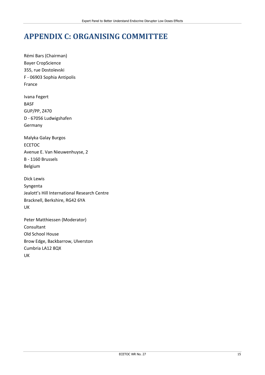# <span id="page-20-0"></span>**APPENDIX C: ORGANISING COMMITTEE**

Rémi Bars (Chairman) Bayer CropScience 355, rue Dostoïevski F - 06903 Sophia Antipolis France

Ivana Fegert BASF GUP/PP, Z470 D - 67056 Ludwigshafen Germany

Malyka Galay Burgos ECETOC Avenue E. Van Nieuwenhuyse, 2 B - 1160 Brussels Belgium

Dick Lewis Syngenta Jealott's Hill International Research Centre Bracknell, Berkshire, RG42 6YA UK

Peter Matthiessen (Moderator) Consultant Old School House Brow Edge, Backbarrow, Ulverston Cumbria LA12 8QX UK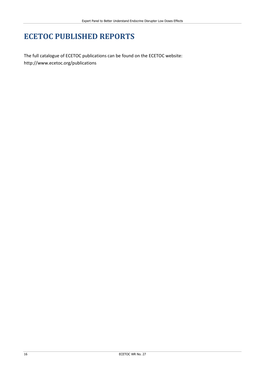# **ECETOC PUBLISHED REPORTS**

The full catalogue of ECETOC publications can be found on the ECETOC website: <http://www.ecetoc.org/publications>